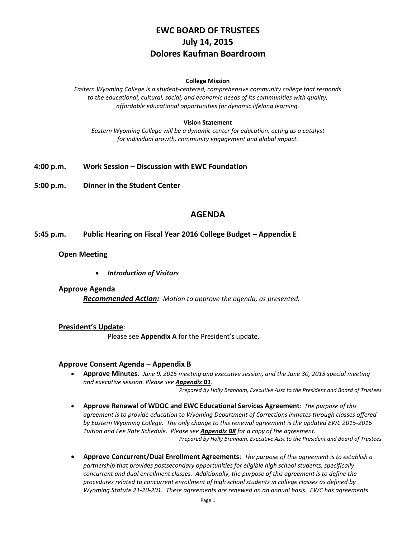# **EWC BOARD OF TRUSTEES July 14, 2015 Dolores Kaufman Boardroom**

#### **College Mission**

*Eastern Wyoming College is a student-centered, comprehensive community college that responds to the educational, cultural, social, and economic needs of its communities with quality, affordable educational opportunities for dynamic lifelong learning.*

#### **Vision Statement**

*Eastern Wyoming College will be a dynamic center for education, acting as a catalyst for individual growth, community engagement and global impact.*

- **4:00 p.m. Work Session – Discussion with EWC Foundation**
- **5:00 p.m. Dinner in the Student Center**

## **AGENDA**

### **5:45 p.m. Public Hearing on Fiscal Year 2016 College Budget – Appendix E**

### **Open Meeting**

*Introduction of Visitors*

#### **Approve Agenda**

*Recommended Action: Motion to approve the agenda, as presented.*

#### **President's Update**:

Please see **Appendix A** for the President's update.

#### **Approve Consent Agenda** – **Appendix B**

 **Approve Minutes**: *June 9, 2015 meeting and executive session, and the June 30, 2015 special meeting and executive session. Please see Appendix B1*.

*Prepared by Holly Branham, Executive Asst to the President and Board of Trustees*

- **Approve Renewal of WDOC and EWC Educational Services Agreement***: The purpose of this agreement is to provide education to Wyoming Department of Corrections inmates through classes offered by Eastern Wyoming College. The only change to this renewal agreement is the updated EWC 2015-2016 Tuition and Fee Rate Schedule. Please see Appendix B8 for a copy of the agreement. Prepared by Holly Branham, Executive Asst to the President and Board of Trustees*
- **Approve Concurrent/Dual Enrollment Agreements**: *The purpose of this agreement is to establish a partnership that provides postsecondary opportunities for eligible high school students, specifically concurrent and dual enrollment classes. Additionally, the purpose of this agreement is to define the procedures related to concurrent enrollment of high school students in college classes as defined by Wyoming Statute 21-20-201. These agreements are renewed on an annual basis. EWC has agreements*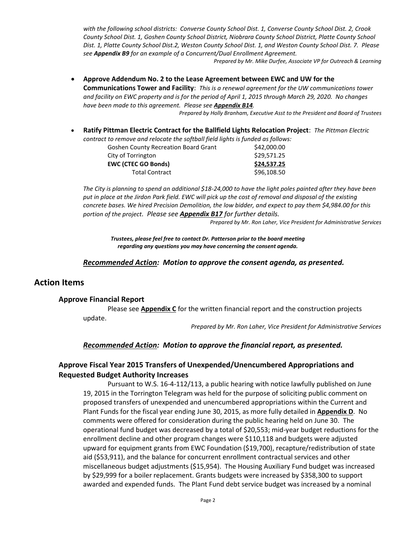*with the following school districts: Converse County School Dist. 1, Converse County School Dist. 2, Crook County School Dist. 1, Goshen County School District, Niobrara County School District, Platte County School Dist. 1, Platte County School Dist.2, Weston County School Dist. 1, and Weston County School Dist. 7. Please see Appendix B9 for an example of a Concurrent/Dual Enrollment Agreement.*

*Prepared by Mr. Mike Durfee, Associate VP for Outreach & Learning*

 **Approve Addendum No. 2 to the Lease Agreement between EWC and UW for the Communications Tower and Facility**: *This is a renewal agreement for the UW communications tower and facility on EWC property and is for the period of April 1, 2015 through March 29, 2020. No changes have been made to this agreement. Please see Appendix B14. Prepared by Holly Branham, Executive Asst to the President and Board of Trustees*

**Ratify Pittman Electric Contract for the Ballfield Lights Relocation Project**: *The Pittman Electric* 

*contract to remove and relocate the softball field lights is funded as follows:*

| \$42,000.00 |                                             |
|-------------|---------------------------------------------|
| \$29,571.25 |                                             |
| \$24,537.25 |                                             |
| \$96,108.50 |                                             |
|             | <b>Goshen County Recreation Board Grant</b> |

*The City is planning to spend an additional \$18-24,000 to have the light poles painted after they have been put in place at the Jirdon Park field. EWC will pick up the cost of removal and disposal of the existing concrete bases. We hired Precision Demolition, the low bidder, and expect to pay them \$4,984.00 for this portion of the project. Please see Appendix B17 for further details.*

*Prepared by Mr. Ron Laher, Vice President for Administrative Services*

*Trustees, please feel free to contact Dr. Patterson prior to the board meeting regarding any questions you may have concerning the consent agenda.*

### *Recommended Action: Motion to approve the consent agenda, as presented.*

## **Action Items**

#### **Approve Financial Report**

Please see **Appendix C** for the written financial report and the construction projects update.

*Prepared by Mr. Ron Laher, Vice President for Administrative Services*

### *Recommended Action: Motion to approve the financial report, as presented.*

## **Approve Fiscal Year 2015 Transfers of Unexpended/Unencumbered Appropriations and Requested Budget Authority Increases**

Pursuant to W.S. 16-4-112/113, a public hearing with notice lawfully published on June 19, 2015 in the Torrington Telegram was held for the purpose of soliciting public comment on proposed transfers of unexpended and unencumbered appropriations within the Current and Plant Funds for the fiscal year ending June 30, 2015, as more fully detailed in **Appendix D**. No comments were offered for consideration during the public hearing held on June 30. The operational fund budget was decreased by a total of \$20,553; mid-year budget reductions for the enrollment decline and other program changes were \$110,118 and budgets were adjusted upward for equipment grants from EWC Foundation (\$19,700), recapture/redistribution of state aid (\$53,911), and the balance for concurrent enrollment contractual services and other miscellaneous budget adjustments (\$15,954). The Housing Auxiliary Fund budget was increased by \$29,999 for a boiler replacement. Grants budgets were increased by \$358,300 to support awarded and expended funds. The Plant Fund debt service budget was increased by a nominal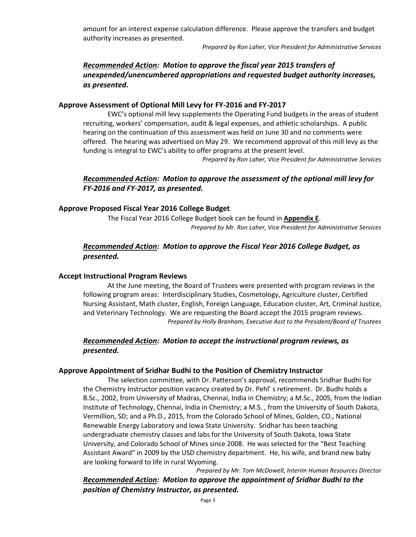amount for an interest expense calculation difference. Please approve the transfers and budget authority increases as presented.

*Prepared by Ron Laher, Vice President for Administrative Services*

## *Recommended Action: Motion to approve the fiscal year 2015 transfers of unexpended/unencumbered appropriations and requested budget authority increases, as presented.*

## **Approve Assessment of Optional Mill Levy for FY-2016 and FY-2017**

EWC's optional mill levy supplements the Operating Fund budgets in the areas of student recruiting, workers' compensation, audit & legal expenses, and athletic scholarships. A public hearing on the continuation of this assessment was held on June 30 and no comments were offered. The hearing was advertised on May 29. We recommend approval of this mill levy as the funding is integral to EWC's ability to offer programs at the present level.

*Prepared by Ron Laher, Vice President for Administrative Services*

## *Recommended Action: Motion to approve the assessment of the optional mill levy for FY-2016 and FY-2017, as presented.*

### **Approve Proposed Fiscal Year 2016 College Budget**

The Fiscal Year 2016 College Budget book can be found in **Appendix E**. *Prepared by Mr. Ron Laher, Vice President for Administrative Services*

## *Recommended Action: Motion to approve the Fiscal Year 2016 College Budget, as presented.*

#### **Accept Instructional Program Reviews**

At the June meeting, the Board of Trustees were presented with program reviews in the following program areas: Interdisciplinary Studies, Cosmetology, Agriculture cluster, Certified Nursing Assistant, Math cluster, English, Foreign Language, Education cluster, Art, Criminal Justice, and Veterinary Technology. We are requesting the Board accept the 2015 program reviews. *Prepared by Holly Branham, Executive Asst to the President/Board of Trustees*

## *Recommended Action: Motion to accept the instructional program reviews, as presented.*

#### **Approve Appointment of Sridhar Budhi to the Position of Chemistry Instructor**

The selection committee, with Dr. Patterson's approval, recommends Sridhar Budhi for the Chemistry Instructor position vacancy created by Dr. Pehl' s retirement. Dr. Budhi holds a B.Sc., 2002, from University of Madras, Chennai, India in Chemistry; a M.Sc., 2005, from the Indian Institute of Technology, Chennai, India in Chemistry; a M.S. , from the University of South Dakota, Vermillion, SD; and a Ph.D., 2015, from the Colorado School of Mines, Golden, CO., National Renewable Energy Laboratory and Iowa State University. Sridhar has been teaching undergraduate chemistry classes and labs for the University of South Dakota, Iowa State University, and Colorado School of Mines since 2008. He was selected for the "Best Teaching Assistant Award" in 2009 by the USD chemistry department. He, his wife, and brand new baby are looking forward to life in rural Wyoming.

*Prepared by Mr. Tom McDowell, Interim Human Resources Director Recommended Action: Motion to approve the appointment of Sridhar Budhi to the position of Chemistry Instructor, as presented.*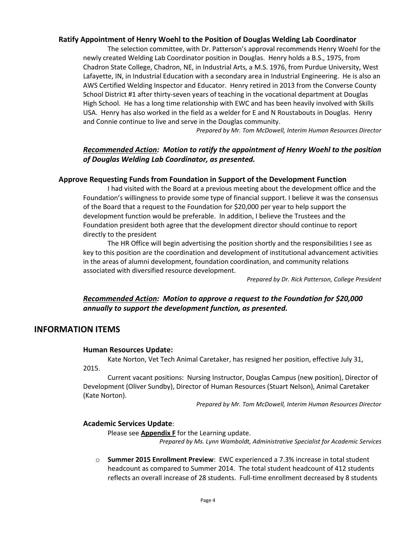## **Ratify Appointment of Henry Woehl to the Position of Douglas Welding Lab Coordinator**

The selection committee, with Dr. Patterson's approval recommends Henry Woehl for the newly created Welding Lab Coordinator position in Douglas. Henry holds a B.S., 1975, from Chadron State College, Chadron, NE, in Industrial Arts, a M.S. 1976, from Purdue University, West Lafayette, IN, in Industrial Education with a secondary area in Industrial Engineering. He is also an AWS Certified Welding Inspector and Educator. Henry retired in 2013 from the Converse County School District #1 after thirty-seven years of teaching in the vocational department at Douglas High School. He has a long time relationship with EWC and has been heavily involved with Skills USA. Henry has also worked in the field as a welder for E and N Roustabouts in Douglas. Henry and Connie continue to live and serve in the Douglas community.

*Prepared by Mr. Tom McDowell, Interim Human Resources Director*

## *Recommended Action: Motion to ratify the appointment of Henry Woehl to the position of Douglas Welding Lab Coordinator, as presented.*

## **Approve Requesting Funds from Foundation in Support of the Development Function**

I had visited with the Board at a previous meeting about the development office and the Foundation's willingness to provide some type of financial support. I believe it was the consensus of the Board that a request to the Foundation for \$20,000 per year to help support the development function would be preferable. In addition, I believe the Trustees and the Foundation president both agree that the development director should continue to report directly to the president

The HR Office will begin advertising the position shortly and the responsibilities I see as key to this position are the coordination and development of institutional advancement activities in the areas of alumni development, foundation coordination, and community relations associated with diversified resource development.

*Prepared by Dr. Rick Patterson, College President*

## *Recommended Action: Motion to approve a request to the Foundation for \$20,000 annually to support the development function, as presented.*

## **INFORMATION ITEMS**

#### **Human Resources Update:**

Kate Norton, Vet Tech Animal Caretaker, has resigned her position, effective July 31, 2015.

Current vacant positions: Nursing Instructor, Douglas Campus (new position), Director of Development (Oliver Sundby), Director of Human Resources (Stuart Nelson), Animal Caretaker (Kate Norton).

*Prepared by Mr. Tom McDowell, Interim Human Resources Director*

### **Academic Services Update**:

Please see **Appendix F** for the Learning update.

*Prepared by Ms. Lynn Wamboldt, Administrative Specialist for Academic Services*

o **Summer 2015 Enrollment Preview**: EWC experienced a 7.3% increase in total student headcount as compared to Summer 2014. The total student headcount of 412 students reflects an overall increase of 28 students. Full-time enrollment decreased by 8 students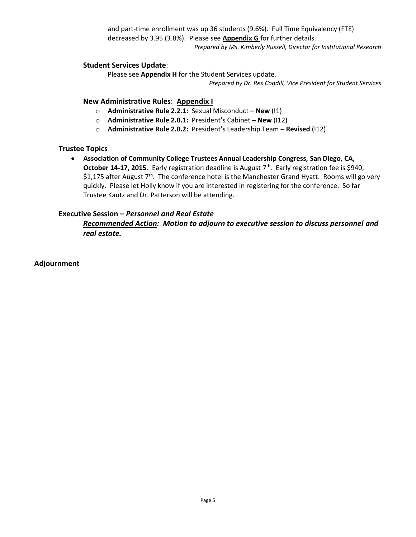and part-time enrollment was up 36 students (9.6%). Full Time Equivalency (FTE) decreased by 3.95 (3.8%). Please see **Appendix G** for further details. *Prepared by Ms. Kimberly Russell, Director for Institutional Research*

### **Student Services Update**:

Please see **Appendix H** for the Student Services update.

*Prepared by Dr. Rex Cogdill, Vice President for Student Services*

### **New Administrative Rules**: **Appendix I**

- o **Administrative Rule 2.2.1:** Sexual Misconduct **– New** (I1)
- o **Administrative Rule 2.0.1:** President's Cabinet **– New** (I12)
- o **Administrative Rule 2.0.2:** President's Leadership Team **– Revised** (I12)

### **Trustee Topics**

 **Association of Community College Trustees Annual Leadership Congress, San Diego, CA,**  October 14-17, 2015. Early registration deadline is August 7<sup>th</sup>. Early registration fee is \$940, \$1,175 after August  $7<sup>th</sup>$ . The conference hotel is the Manchester Grand Hyatt. Rooms will go very quickly. Please let Holly know if you are interested in registering for the conference. So far Trustee Kautz and Dr. Patterson will be attending.

## **Executive Session –** *Personnel and Real Estate*

*Recommended Action: Motion to adjourn to executive session to discuss personnel and real estate.*

### **Adjournment**